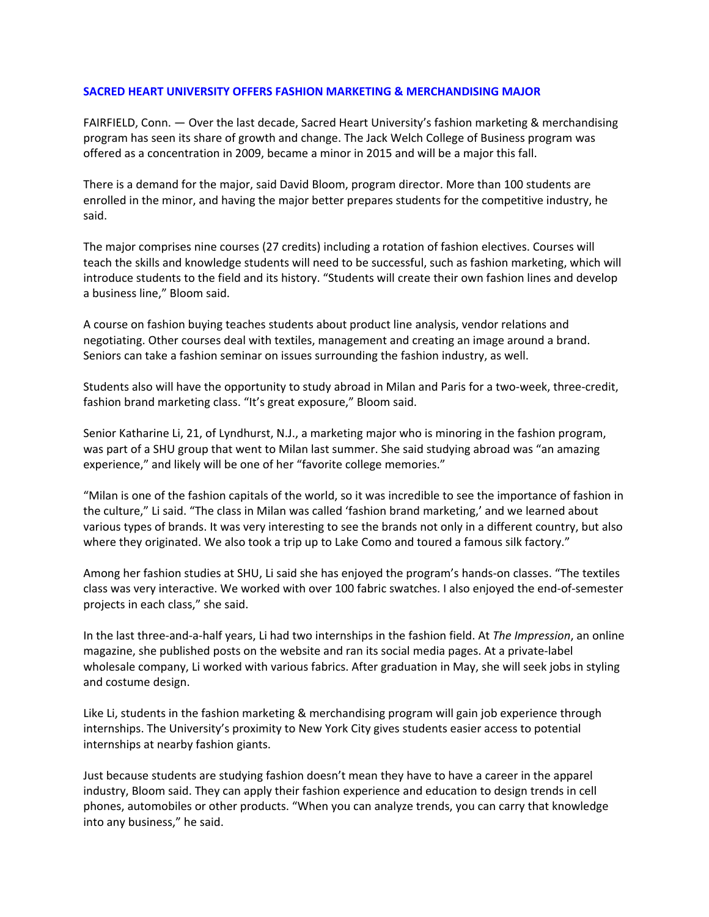## **SACRED HEART UNIVERSITY OFFERS FASHION MARKETING & MERCHANDISING MAJOR**

FAIRFIELD, Conn. — Over the last decade, Sacred Heart University's fashion marketing & merchandising program has seen its share of growth and change. The Jack Welch College of Business program was offered as a concentration in 2009, became a minor in 2015 and will be a major this fall.

There is a demand for the major, said David Bloom, program director. More than 100 students are enrolled in the minor, and having the major better prepares students for the competitive industry, he said.

The major comprises nine courses (27 credits) including a rotation of fashion electives. Courses will teach the skills and knowledge students will need to be successful, such as fashion marketing, which will introduce students to the field and its history. "Students will create their own fashion lines and develop a business line," Bloom said.

A course on fashion buying teaches students about product line analysis, vendor relations and negotiating. Other courses deal with textiles, management and creating an image around a brand. Seniors can take a fashion seminar on issues surrounding the fashion industry, as well.

Students also will have the opportunity to study abroad in Milan and Paris for a two‐week, three‐credit, fashion brand marketing class. "It's great exposure," Bloom said.

Senior Katharine Li, 21, of Lyndhurst, N.J., a marketing major who is minoring in the fashion program, was part of a SHU group that went to Milan last summer. She said studying abroad was "an amazing experience," and likely will be one of her "favorite college memories."

"Milan is one of the fashion capitals of the world, so it was incredible to see the importance of fashion in the culture," Li said. "The class in Milan was called 'fashion brand marketing,' and we learned about various types of brands. It was very interesting to see the brands not only in a different country, but also where they originated. We also took a trip up to Lake Como and toured a famous silk factory."

Among her fashion studies at SHU, Li said she has enjoyed the program's hands‐on classes. "The textiles class was very interactive. We worked with over 100 fabric swatches. I also enjoyed the end‐of‐semester projects in each class," she said.

In the last three‐and‐a‐half years, Li had two internships in the fashion field. At *The Impression*, an online magazine, she published posts on the website and ran its social media pages. At a private‐label wholesale company, Li worked with various fabrics. After graduation in May, she will seek jobs in styling and costume design.

Like Li, students in the fashion marketing & merchandising program will gain job experience through internships. The University's proximity to New York City gives students easier access to potential internships at nearby fashion giants.

Just because students are studying fashion doesn't mean they have to have a career in the apparel industry, Bloom said. They can apply their fashion experience and education to design trends in cell phones, automobiles or other products. "When you can analyze trends, you can carry that knowledge into any business," he said.